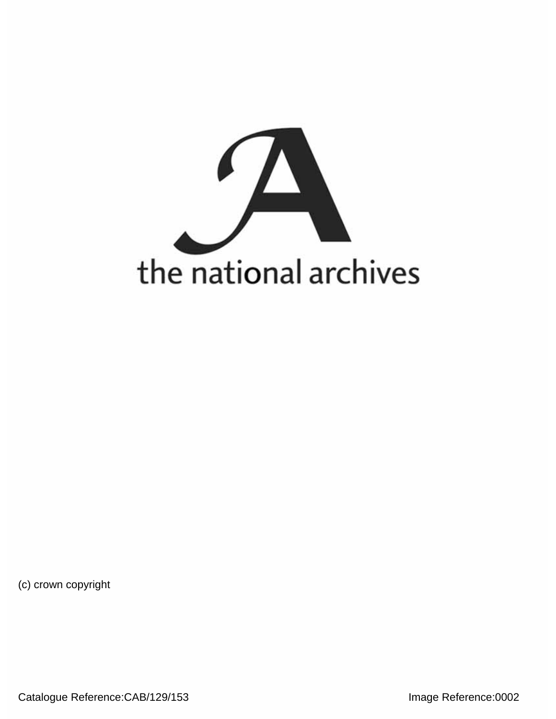

(c) crown copyright

Catalogue Reference:CAB/129/153 **Image Reference:0002**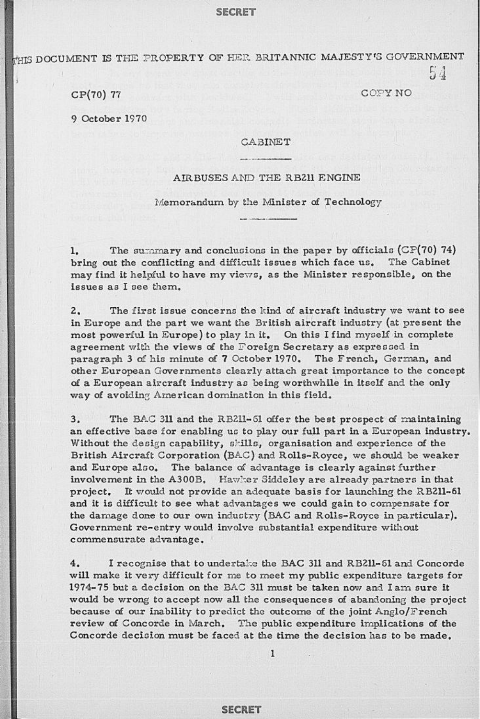# **SECRET**

THIS DOCUMENT IS THE PROPERTY OF HER BRITANNIC MAJESTY'S GOVERNMENT

CP(70) 77 COPY NO

9 October 1970

### CABINET

54

# AIRBUSES AND THE RB211 ENGINE

Memorandum by the Minister of Technology

1. The summary and conclusions in the paper by officials (CP(70) 74) bring out the conflicting and difficult issues which face us. The Cabinet may find it helpful to have my views, as the Minister responsible, on the issues as I see them.

2, The first issue concerns the kind of aircraft industry we want to see in Europe and the part we want the British aircraft industry (at present the most powerful in Europe) to play in it. On this I find myself in complete agreement with the views of the Foreign Secretary as expressed in paragraph 3 of his minute of **7** October 1970. The French, German, and other European Governments clearly attach great importance to the concept of a European aircraft industry as being worthwhile in itself and the only way of avoiding American domination in this field.

3. The BAG 311 and the RB211-S1 offer the best prospect of maintaining an effective base for enabling us to play our full part in a European industry. Without the design capability, skills, organisation and experience of the British Aircraft Corporation (BAC) and Rolls-Royce, we should be weaker and Europe also, The balance of advantage is clearly against further involvement in the A300B. Hawker Siddeley are already partners in that project. It would not provide an adequate basis for launching the RB211-61 and it is difficult to see what advantages we could gain to compensate for the damage done to our own industry (BAG and Rolls-Royce in particular). Government re-entry would involve substantial expenditure without commensurate advantage.

4. I recognise that to undertake the BAC 311 and RB211-61 and Concorde will make it very difficult for me to meet my public expenditure targets for 1974-75 but a decision on the BAC 311 must be taken now and I am sure it would be wrong to accept now all the consequences of abandoning the project because of our Inability to predict the outcome of the joint Anglo/French review of Concorde in March. The public expenditure implications of the Concorde decision must be faced at the time the decision has to be made,

# **SECRET**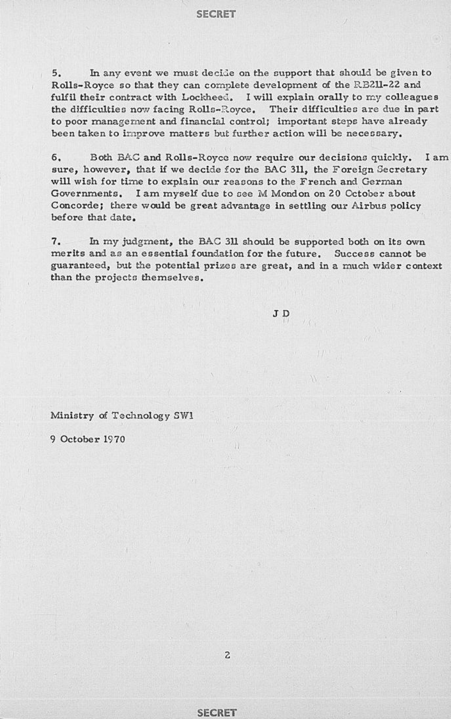#### **SECRET**

5. In any event we must decide on the support that should be given to Rolls-Royce so that they can complete development of the R3211-22 and fulfil their contract with Lockheed, I will explain orally to my colleagues the difficulties now facing Rolls-R.oyce, Their difficulties are due in part to poor management and financial control; important steps have already been taken to improve matters but further action will be necessary.

6, Both BAG and Rolls-Royce now require our decisions quickly. I am sure, however, that if we decide for the BAG 311, the Foreign Secretary will wish for time to explain our reasons to the French and German Governments. I am myself due to see M Mondon on 20 October about Concorde; there would be great advantage in settling our Airbus policy before that date.

7. In my judgment, the BAG 311 should be supported both on its own merits and as an essential foundation for the future. Success cannot be guaranteed, but the potential prizes are great, and in a much wider context than the projects themselves.

J D

Ministry of Technology SW1

9 October 1970

### **SECRET**